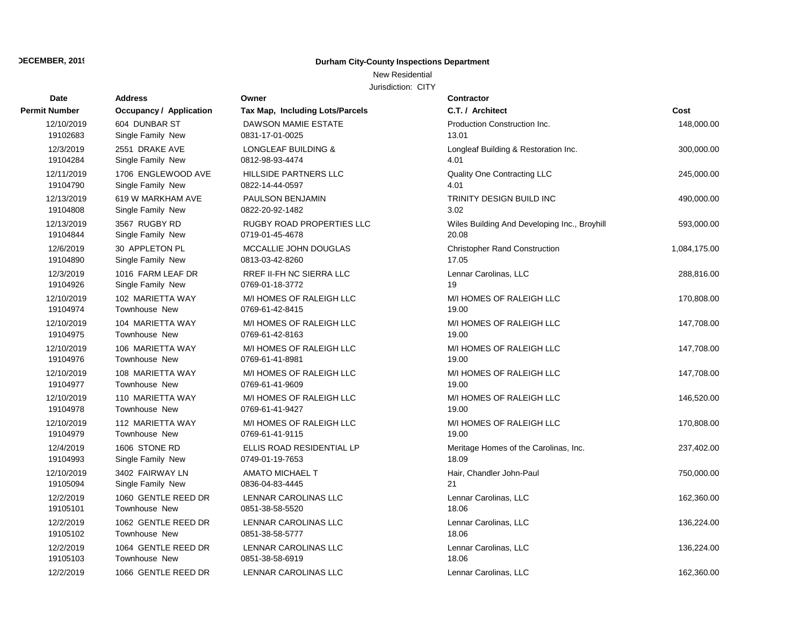## New Residential

| Date                 | <b>Address</b>                 | Owner                           | Contractor                                   |              |
|----------------------|--------------------------------|---------------------------------|----------------------------------------------|--------------|
| <b>Permit Number</b> | <b>Occupancy / Application</b> | Tax Map, Including Lots/Parcels | C.T. / Architect                             | Cost         |
| 12/10/2019           | 604 DUNBAR ST                  | <b>DAWSON MAMIE ESTATE</b>      | Production Construction Inc.                 | 148,000.00   |
| 19102683             | Single Family New              | 0831-17-01-0025                 | 13.01                                        |              |
| 12/3/2019            | 2551 DRAKE AVE                 | LONGLEAF BUILDING &             | Longleaf Building & Restoration Inc.         | 300,000.00   |
| 19104284             | Single Family New              | 0812-98-93-4474                 | 4.01                                         |              |
| 12/11/2019           | 1706 ENGLEWOOD AVE             | <b>HILLSIDE PARTNERS LLC</b>    | Quality One Contracting LLC                  | 245,000.00   |
| 19104790             | Single Family New              | 0822-14-44-0597                 | 4.01                                         |              |
| 12/13/2019           | 619 W MARKHAM AVE              | PAULSON BENJAMIN                | TRINITY DESIGN BUILD INC                     | 490,000.00   |
| 19104808             | Single Family New              | 0822-20-92-1482                 | 3.02                                         |              |
| 12/13/2019           | 3567 RUGBY RD                  | RUGBY ROAD PROPERTIES LLC       | Wiles Building And Developing Inc., Broyhill | 593,000.00   |
| 19104844             | Single Family New              | 0719-01-45-4678                 | 20.08                                        |              |
| 12/6/2019            | 30 APPLETON PL                 | MCCALLIE JOHN DOUGLAS           | <b>Christopher Rand Construction</b>         | 1,084,175.00 |
| 19104890             | Single Family New              | 0813-03-42-8260                 | 17.05                                        |              |
| 12/3/2019            | 1016 FARM LEAF DR              | RREF II-FH NC SIERRA LLC        | Lennar Carolinas, LLC                        | 288,816.00   |
| 19104926             | Single Family New              | 0769-01-18-3772                 | 19                                           |              |
| 12/10/2019           | 102 MARIETTA WAY               | M/I HOMES OF RALEIGH LLC        | M/I HOMES OF RALEIGH LLC                     | 170,808.00   |
| 19104974             | <b>Townhouse New</b>           | 0769-61-42-8415                 | 19.00                                        |              |
| 12/10/2019           | 104 MARIETTA WAY               | M/I HOMES OF RALEIGH LLC        | M/I HOMES OF RALEIGH LLC                     | 147,708.00   |
| 19104975             | <b>Townhouse New</b>           | 0769-61-42-8163                 | 19.00                                        |              |
| 12/10/2019           | 106 MARIETTA WAY               | M/I HOMES OF RALEIGH LLC        | M/I HOMES OF RALEIGH LLC                     | 147,708.00   |
| 19104976             | Townhouse New                  | 0769-61-41-8981                 | 19.00                                        |              |
| 12/10/2019           | 108 MARIETTA WAY               | M/I HOMES OF RALEIGH LLC        | M/I HOMES OF RALEIGH LLC                     | 147,708.00   |
| 19104977             | <b>Townhouse New</b>           | 0769-61-41-9609                 | 19.00                                        |              |
| 12/10/2019           | 110 MARIETTA WAY               | M/I HOMES OF RALEIGH LLC        | M/I HOMES OF RALEIGH LLC                     | 146,520.00   |
| 19104978             | Townhouse New                  | 0769-61-41-9427                 | 19.00                                        |              |
| 12/10/2019           | 112 MARIETTA WAY               | M/I HOMES OF RALEIGH LLC        | M/I HOMES OF RALEIGH LLC                     | 170,808.00   |
| 19104979             | <b>Townhouse New</b>           | 0769-61-41-9115                 | 19.00                                        |              |
| 12/4/2019            | 1606 STONE RD                  | ELLIS ROAD RESIDENTIAL LP       | Meritage Homes of the Carolinas, Inc.        | 237,402.00   |
| 19104993             | Single Family New              | 0749-01-19-7653                 | 18.09                                        |              |
| 12/10/2019           | 3402 FAIRWAY LN                | <b>AMATO MICHAEL T</b>          | Hair, Chandler John-Paul                     | 750,000.00   |
| 19105094             | Single Family New              | 0836-04-83-4445                 | 21                                           |              |
| 12/2/2019            | 1060 GENTLE REED DR            | LENNAR CAROLINAS LLC            | Lennar Carolinas, LLC                        | 162,360.00   |
| 19105101             | Townhouse New                  | 0851-38-58-5520                 | 18.06                                        |              |
| 12/2/2019            | 1062 GENTLE REED DR            | <b>LENNAR CAROLINAS LLC</b>     | Lennar Carolinas, LLC                        | 136,224.00   |
| 19105102             | Townhouse New                  | 0851-38-58-5777                 | 18.06                                        |              |
| 12/2/2019            | 1064 GENTLE REED DR            | LENNAR CAROLINAS LLC            | Lennar Carolinas, LLC                        | 136,224.00   |
| 19105103             | Townhouse New                  | 0851-38-58-6919                 | 18.06                                        |              |
| 12/2/2019            | 1066 GENTLE REED DR            | LENNAR CAROLINAS LLC            | Lennar Carolinas, LLC                        | 162,360.00   |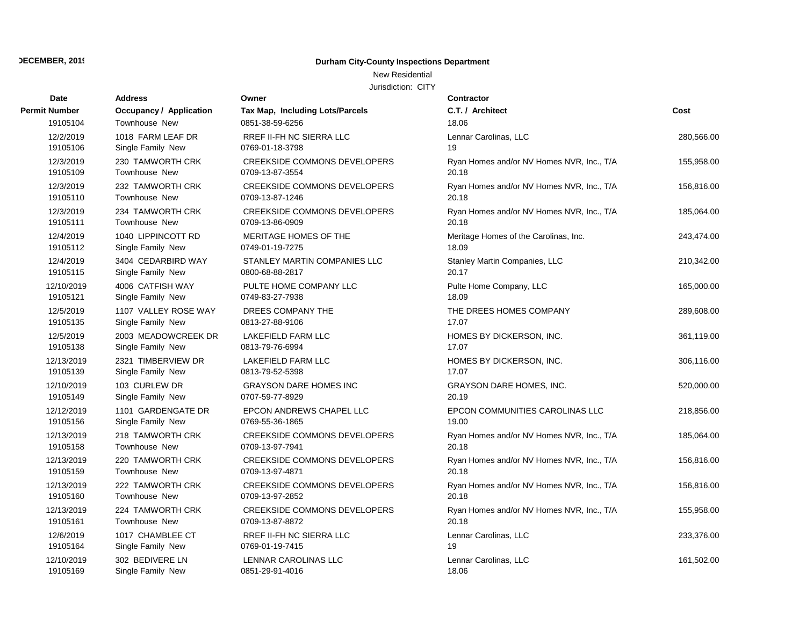## New Residential

| Date                 | <b>Address</b>          | Owner                               | <b>Contractor</b>                         |            |
|----------------------|-------------------------|-------------------------------------|-------------------------------------------|------------|
| <b>Permit Number</b> | Occupancy / Application | Tax Map, Including Lots/Parcels     | C.T. / Architect                          | Cost       |
| 19105104             | Townhouse New           | 0851-38-59-6256                     | 18.06                                     |            |
| 12/2/2019            | 1018 FARM LEAF DR       | <b>RREF II-FH NC SIERRA LLC</b>     | Lennar Carolinas, LLC                     | 280,566.00 |
| 19105106             | Single Family New       | 0769-01-18-3798                     | 19                                        |            |
| 12/3/2019            | 230 TAMWORTH CRK        | <b>CREEKSIDE COMMONS DEVELOPERS</b> | Ryan Homes and/or NV Homes NVR, Inc., T/A | 155,958.00 |
| 19105109             | <b>Townhouse New</b>    | 0709-13-87-3554                     | 20.18                                     |            |
| 12/3/2019            | 232 TAMWORTH CRK        | <b>CREEKSIDE COMMONS DEVELOPERS</b> | Ryan Homes and/or NV Homes NVR, Inc., T/A | 156,816.00 |
| 19105110             | <b>Townhouse New</b>    | 0709-13-87-1246                     | 20.18                                     |            |
| 12/3/2019            | 234 TAMWORTH CRK        | <b>CREEKSIDE COMMONS DEVELOPERS</b> | Ryan Homes and/or NV Homes NVR, Inc., T/A | 185,064.00 |
| 19105111             | Townhouse New           | 0709-13-86-0909                     | 20.18                                     |            |
| 12/4/2019            | 1040 LIPPINCOTT RD      | MERITAGE HOMES OF THE               | Meritage Homes of the Carolinas, Inc.     | 243,474.00 |
| 19105112             | Single Family New       | 0749-01-19-7275                     | 18.09                                     |            |
| 12/4/2019            | 3404 CEDARBIRD WAY      | STANLEY MARTIN COMPANIES LLC        | Stanley Martin Companies, LLC             | 210,342.00 |
| 19105115             | Single Family New       | 0800-68-88-2817                     | 20.17                                     |            |
| 12/10/2019           | 4006 CATFISH WAY        | PULTE HOME COMPANY LLC              | Pulte Home Company, LLC                   | 165,000.00 |
| 19105121             | Single Family New       | 0749-83-27-7938                     | 18.09                                     |            |
| 12/5/2019            | 1107 VALLEY ROSE WAY    | DREES COMPANY THE                   | THE DREES HOMES COMPANY                   | 289,608.00 |
| 19105135             | Single Family New       | 0813-27-88-9106                     | 17.07                                     |            |
| 12/5/2019            | 2003 MEADOWCREEK DR     | LAKEFIELD FARM LLC                  | HOMES BY DICKERSON, INC.                  | 361,119.00 |
| 19105138             | Single Family New       | 0813-79-76-6994                     | 17.07                                     |            |
| 12/13/2019           | 2321 TIMBERVIEW DR      | LAKEFIELD FARM LLC                  | HOMES BY DICKERSON, INC.                  | 306,116.00 |
| 19105139             | Single Family New       | 0813-79-52-5398                     | 17.07                                     |            |
| 12/10/2019           | 103 CURLEW DR           | <b>GRAYSON DARE HOMES INC</b>       | GRAYSON DARE HOMES, INC.                  | 520,000.00 |
| 19105149             | Single Family New       | 0707-59-77-8929                     | 20.19                                     |            |
| 12/12/2019           | 1101 GARDENGATE DR      | EPCON ANDREWS CHAPEL LLC            | EPCON COMMUNITIES CAROLINAS LLC           | 218,856.00 |
| 19105156             | Single Family New       | 0769-55-36-1865                     | 19.00                                     |            |
| 12/13/2019           | 218 TAMWORTH CRK        | <b>CREEKSIDE COMMONS DEVELOPERS</b> | Ryan Homes and/or NV Homes NVR, Inc., T/A | 185,064.00 |
| 19105158             | <b>Townhouse New</b>    | 0709-13-97-7941                     | 20.18                                     |            |
| 12/13/2019           | 220 TAMWORTH CRK        | <b>CREEKSIDE COMMONS DEVELOPERS</b> | Ryan Homes and/or NV Homes NVR, Inc., T/A | 156,816.00 |
| 19105159             | <b>Townhouse New</b>    | 0709-13-97-4871                     | 20.18                                     |            |
| 12/13/2019           | 222 TAMWORTH CRK        | <b>CREEKSIDE COMMONS DEVELOPERS</b> | Ryan Homes and/or NV Homes NVR, Inc., T/A | 156,816.00 |
| 19105160             | Townhouse New           | 0709-13-97-2852                     | 20.18                                     |            |
| 12/13/2019           | 224 TAMWORTH CRK        | <b>CREEKSIDE COMMONS DEVELOPERS</b> | Ryan Homes and/or NV Homes NVR, Inc., T/A | 155,958.00 |
| 19105161             | <b>Townhouse New</b>    | 0709-13-87-8872                     | 20.18                                     |            |
| 12/6/2019            | 1017 CHAMBLEE CT        | RREF II-FH NC SIERRA LLC            | Lennar Carolinas, LLC                     | 233,376.00 |
| 19105164             | Single Family New       | 0769-01-19-7415                     | 19                                        |            |
| 12/10/2019           | 302 BEDIVERE LN         | LENNAR CAROLINAS LLC                | Lennar Carolinas, LLC                     | 161,502.00 |
| 19105169             | Single Family New       | 0851-29-91-4016                     | 18.06                                     |            |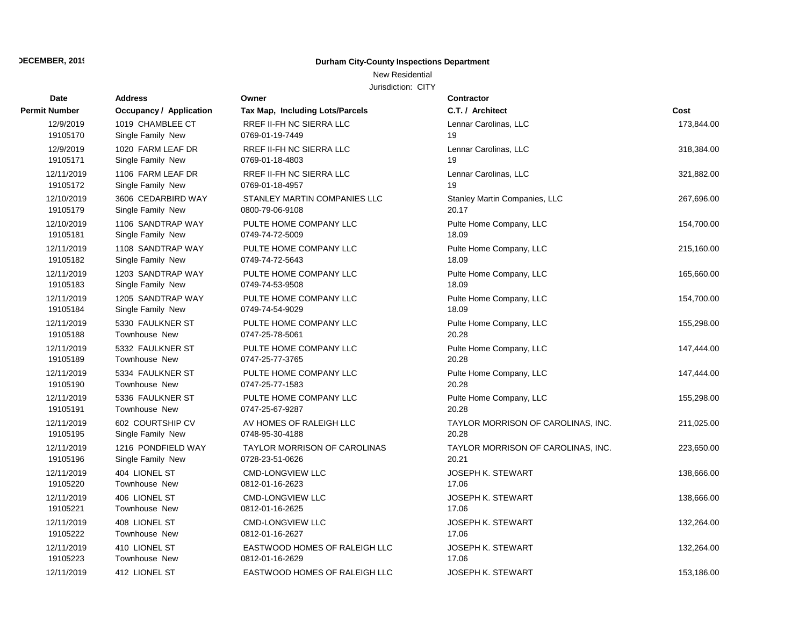## New Residential

| Date                 | <b>Address</b>                 | Owner                           | Contractor                         |            |
|----------------------|--------------------------------|---------------------------------|------------------------------------|------------|
| <b>Permit Number</b> | <b>Occupancy / Application</b> | Tax Map, Including Lots/Parcels | C.T. / Architect                   | Cost       |
| 12/9/2019            | 1019 CHAMBLEE CT               | <b>RREF II-FH NC SIERRA LLC</b> | Lennar Carolinas, LLC              | 173,844.00 |
| 19105170             | Single Family New              | 0769-01-19-7449                 | 19                                 |            |
| 12/9/2019            | 1020 FARM LEAF DR              | RREF II-FH NC SIERRA LLC        | Lennar Carolinas, LLC              | 318,384.00 |
| 19105171             | Single Family New              | 0769-01-18-4803                 | 19                                 |            |
| 12/11/2019           | 1106 FARM LEAF DR              | <b>RREF II-FH NC SIERRA LLC</b> | Lennar Carolinas, LLC              | 321,882.00 |
| 19105172             | Single Family New              | 0769-01-18-4957                 | 19                                 |            |
| 12/10/2019           | 3606 CEDARBIRD WAY             | STANLEY MARTIN COMPANIES LLC    | Stanley Martin Companies, LLC      | 267,696.00 |
| 19105179             | Single Family New              | 0800-79-06-9108                 | 20.17                              |            |
| 12/10/2019           | 1106 SANDTRAP WAY              | PULTE HOME COMPANY LLC          | Pulte Home Company, LLC            | 154,700.00 |
| 19105181             | Single Family New              | 0749-74-72-5009                 | 18.09                              |            |
| 12/11/2019           | 1108 SANDTRAP WAY              | PULTE HOME COMPANY LLC          | Pulte Home Company, LLC            | 215,160.00 |
| 19105182             | Single Family New              | 0749-74-72-5643                 | 18.09                              |            |
| 12/11/2019           | 1203 SANDTRAP WAY              | PULTE HOME COMPANY LLC          | Pulte Home Company, LLC            | 165,660.00 |
| 19105183             | Single Family New              | 0749-74-53-9508                 | 18.09                              |            |
| 12/11/2019           | 1205 SANDTRAP WAY              | PULTE HOME COMPANY LLC          | Pulte Home Company, LLC            | 154,700.00 |
| 19105184             | Single Family New              | 0749-74-54-9029                 | 18.09                              |            |
| 12/11/2019           | 5330 FAULKNER ST               | PULTE HOME COMPANY LLC          | Pulte Home Company, LLC            | 155,298.00 |
| 19105188             | <b>Townhouse New</b>           | 0747-25-78-5061                 | 20.28                              |            |
| 12/11/2019           | 5332 FAULKNER ST               | PULTE HOME COMPANY LLC          | Pulte Home Company, LLC            | 147,444.00 |
| 19105189             | Townhouse New                  | 0747-25-77-3765                 | 20.28                              |            |
| 12/11/2019           | 5334 FAULKNER ST               | PULTE HOME COMPANY LLC          | Pulte Home Company, LLC            | 147,444.00 |
| 19105190             | <b>Townhouse New</b>           | 0747-25-77-1583                 | 20.28                              |            |
| 12/11/2019           | 5336 FAULKNER ST               | PULTE HOME COMPANY LLC          | Pulte Home Company, LLC            | 155,298.00 |
| 19105191             | Townhouse New                  | 0747-25-67-9287                 | 20.28                              |            |
| 12/11/2019           | 602 COURTSHIP CV               | AV HOMES OF RALEIGH LLC         | TAYLOR MORRISON OF CAROLINAS, INC. | 211,025.00 |
| 19105195             | Single Family New              | 0748-95-30-4188                 | 20.28                              |            |
| 12/11/2019           | 1216 PONDFIELD WAY             | TAYLOR MORRISON OF CAROLINAS    | TAYLOR MORRISON OF CAROLINAS, INC. | 223,650.00 |
| 19105196             | Single Family New              | 0728-23-51-0626                 | 20.21                              |            |
| 12/11/2019           | 404 LIONEL ST                  | <b>CMD-LONGVIEW LLC</b>         | <b>JOSEPH K. STEWART</b>           | 138,666.00 |
| 19105220             | <b>Townhouse New</b>           | 0812-01-16-2623                 | 17.06                              |            |
| 12/11/2019           | 406 LIONEL ST                  | <b>CMD-LONGVIEW LLC</b>         | <b>JOSEPH K. STEWART</b>           | 138,666.00 |
| 19105221             | Townhouse New                  | 0812-01-16-2625                 | 17.06                              |            |
| 12/11/2019           | 408 LIONEL ST                  | <b>CMD-LONGVIEW LLC</b>         | JOSEPH K. STEWART                  | 132,264.00 |
| 19105222             | Townhouse New                  | 0812-01-16-2627                 | 17.06                              |            |
| 12/11/2019           | 410 LIONEL ST                  | EASTWOOD HOMES OF RALEIGH LLC   | <b>JOSEPH K. STEWART</b>           | 132,264.00 |
| 19105223             | <b>Townhouse New</b>           | 0812-01-16-2629                 | 17.06                              |            |
| 12/11/2019           | 412 LIONEL ST                  | EASTWOOD HOMES OF RALEIGH LLC   | <b>JOSEPH K. STEWART</b>           | 153,186.00 |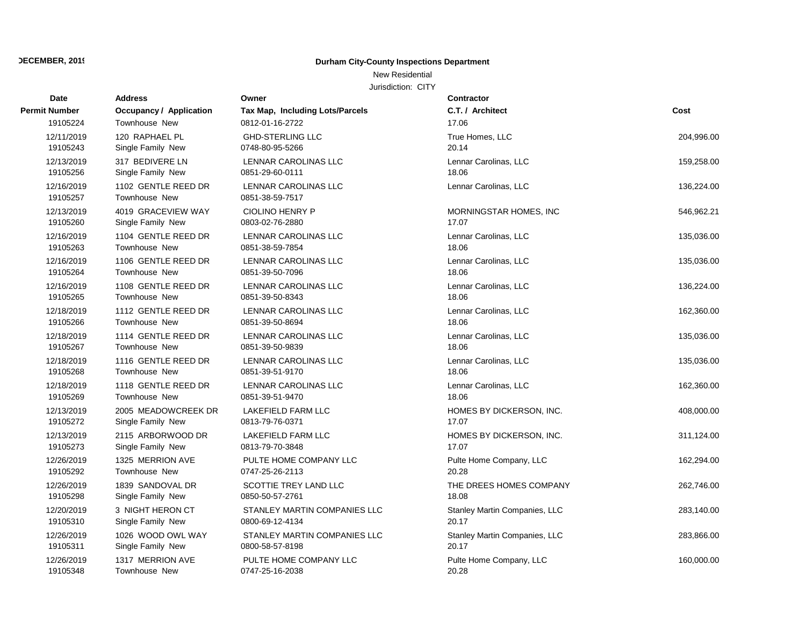## New Residential

| <b>Date</b>            | <b>Address</b>                       | Owner                                   | <b>Contractor</b>             |            |
|------------------------|--------------------------------------|-----------------------------------------|-------------------------------|------------|
| <b>Permit Number</b>   | <b>Occupancy / Application</b>       | Tax Map, Including Lots/Parcels         | C.T. / Architect              | Cost       |
| 19105224               | Townhouse New                        | 0812-01-16-2722                         | 17.06                         |            |
| 12/11/2019             | 120 RAPHAEL PL                       | <b>GHD-STERLING LLC</b>                 | True Homes, LLC               | 204,996.00 |
| 19105243               | Single Family New                    | 0748-80-95-5266                         | 20.14                         |            |
| 12/13/2019             | 317 BEDIVERE LN                      | LENNAR CAROLINAS LLC                    | Lennar Carolinas, LLC         | 159,258.00 |
| 19105256               | Single Family New                    | 0851-29-60-0111                         | 18.06                         |            |
| 12/16/2019<br>19105257 | 1102 GENTLE REED DR<br>Townhouse New | LENNAR CAROLINAS LLC<br>0851-38-59-7517 | Lennar Carolinas, LLC         | 136,224.00 |
| 12/13/2019             | 4019 GRACEVIEW WAY                   | <b>CIOLINO HENRY P</b>                  | MORNINGSTAR HOMES, INC        | 546,962.21 |
| 19105260               | Single Family New                    | 0803-02-76-2880                         | 17.07                         |            |
| 12/16/2019             | 1104 GENTLE REED DR                  | LENNAR CAROLINAS LLC                    | Lennar Carolinas, LLC         | 135,036.00 |
| 19105263               | <b>Townhouse New</b>                 | 0851-38-59-7854                         | 18.06                         |            |
| 12/16/2019             | 1106 GENTLE REED DR                  | LENNAR CAROLINAS LLC                    | Lennar Carolinas, LLC         | 135,036.00 |
| 19105264               | <b>Townhouse New</b>                 | 0851-39-50-7096                         | 18.06                         |            |
| 12/16/2019             | 1108 GENTLE REED DR                  | LENNAR CAROLINAS LLC                    | Lennar Carolinas, LLC         | 136,224.00 |
| 19105265               | <b>Townhouse New</b>                 | 0851-39-50-8343                         | 18.06                         |            |
| 12/18/2019             | 1112 GENTLE REED DR                  | LENNAR CAROLINAS LLC                    | Lennar Carolinas, LLC         | 162,360.00 |
| 19105266               | <b>Townhouse New</b>                 | 0851-39-50-8694                         | 18.06                         |            |
| 12/18/2019             | 1114 GENTLE REED DR                  | LENNAR CAROLINAS LLC                    | Lennar Carolinas, LLC         | 135,036.00 |
| 19105267               | <b>Townhouse New</b>                 | 0851-39-50-9839                         | 18.06                         |            |
| 12/18/2019             | 1116 GENTLE REED DR                  | LENNAR CAROLINAS LLC                    | Lennar Carolinas, LLC         | 135,036.00 |
| 19105268               | <b>Townhouse New</b>                 | 0851-39-51-9170                         | 18.06                         |            |
| 12/18/2019             | 1118 GENTLE REED DR                  | LENNAR CAROLINAS LLC                    | Lennar Carolinas, LLC         | 162,360.00 |
| 19105269               | <b>Townhouse New</b>                 | 0851-39-51-9470                         | 18.06                         |            |
| 12/13/2019             | 2005 MEADOWCREEK DR                  | LAKEFIELD FARM LLC                      | HOMES BY DICKERSON, INC.      | 408,000.00 |
| 19105272               | Single Family New                    | 0813-79-76-0371                         | 17.07                         |            |
| 12/13/2019             | 2115 ARBORWOOD DR                    | LAKEFIELD FARM LLC                      | HOMES BY DICKERSON, INC.      | 311,124.00 |
| 19105273               | Single Family New                    | 0813-79-70-3848                         | 17.07                         |            |
| 12/26/2019             | 1325 MERRION AVE                     | PULTE HOME COMPANY LLC                  | Pulte Home Company, LLC       | 162,294.00 |
| 19105292               | Townhouse New                        | 0747-25-26-2113                         | 20.28                         |            |
| 12/26/2019             | 1839 SANDOVAL DR                     | SCOTTIE TREY LAND LLC                   | THE DREES HOMES COMPANY       | 262,746.00 |
| 19105298               | Single Family New                    | 0850-50-57-2761                         | 18.08                         |            |
| 12/20/2019             | 3 NIGHT HERON CT                     | STANLEY MARTIN COMPANIES LLC            | Stanley Martin Companies, LLC | 283,140.00 |
| 19105310               | Single Family New                    | 0800-69-12-4134                         | 20.17                         |            |
| 12/26/2019             | 1026 WOOD OWL WAY                    | STANLEY MARTIN COMPANIES LLC            | Stanley Martin Companies, LLC | 283,866.00 |
| 19105311               | Single Family New                    | 0800-58-57-8198                         | 20.17                         |            |
| 12/26/2019             | 1317 MERRION AVE                     | PULTE HOME COMPANY LLC                  | Pulte Home Company, LLC       | 160,000.00 |
| 19105348               | <b>Townhouse New</b>                 | 0747-25-16-2038                         | 20.28                         |            |